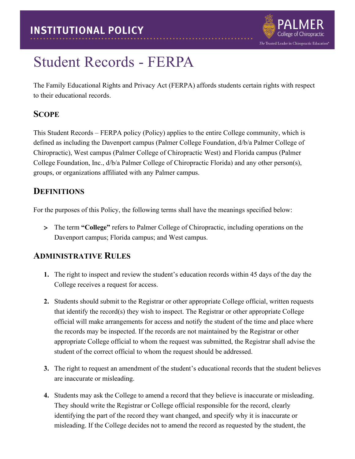

# Student Records - FERPA

The Family Educational Rights and Privacy Act (FERPA) affords students certain rights with respect to their educational records.

# **SCOPE**

This Student Records – FERPA policy (Policy) applies to the entire College community, which is defined as including the Davenport campus (Palmer College Foundation, d/b/a Palmer College of Chiropractic), West campus (Palmer College of Chiropractic West) and Florida campus (Palmer College Foundation, Inc., d/b/a Palmer College of Chiropractic Florida) and any other person(s), groups, or organizations affiliated with any Palmer campus.

# **DEFINITIONS**

For the purposes of this Policy, the following terms shall have the meanings specified below:

> The term **"College"** refers to Palmer College of Chiropractic, including operations on the Davenport campus; Florida campus; and West campus.

# **ADMINISTRATIVE RULES**

- **1.** The right to inspect and review the student's education records within 45 days of the day the College receives a request for access.
- **2.** Students should submit to the Registrar or other appropriate College official, written requests that identify the record(s) they wish to inspect. The Registrar or other appropriate College official will make arrangements for access and notify the student of the time and place where the records may be inspected. If the records are not maintained by the Registrar or other appropriate College official to whom the request was submitted, the Registrar shall advise the student of the correct official to whom the request should be addressed.
- **3.** The right to request an amendment of the student's educational records that the student believes are inaccurate or misleading.
- **4.** Students may ask the College to amend a record that they believe is inaccurate or misleading. They should write the Registrar or College official responsible for the record, clearly identifying the part of the record they want changed, and specify why it is inaccurate or misleading. If the College decides not to amend the record as requested by the student, the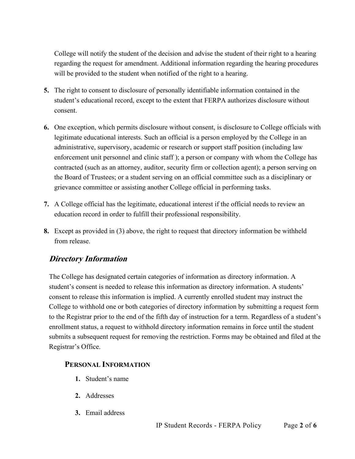College will notify the student of the decision and advise the student of their right to a hearing regarding the request for amendment. Additional information regarding the hearing procedures will be provided to the student when notified of the right to a hearing.

- **5.** The right to consent to disclosure of personally identifiable information contained in the student's educational record, except to the extent that FERPA authorizes disclosure without consent.
- **6.** One exception, which permits disclosure without consent, is disclosure to College officials with legitimate educational interests. Such an official is a person employed by the College in an administrative, supervisory, academic or research or support staff position (including law enforcement unit personnel and clinic staff ); a person or company with whom the College has contracted (such as an attorney, auditor, security firm or collection agent); a person serving on the Board of Trustees; or a student serving on an official committee such as a disciplinary or grievance committee or assisting another College official in performing tasks.
- **7.** A College official has the legitimate, educational interest if the official needs to review an education record in order to fulfill their professional responsibility.
- **8.** Except as provided in (3) above, the right to request that directory information be withheld from release.

# **Directory Information**

The College has designated certain categories of information as directory information. A student's consent is needed to release this information as directory information. A students' consent to release this information is implied. A currently enrolled student may instruct the College to withhold one or both categories of directory information by submitting a request form to the Registrar prior to the end of the fifth day of instruction for a term. Regardless of a student's enrollment status, a request to withhold directory information remains in force until the student submits a subsequent request for removing the restriction. Forms may be obtained and filed at the Registrar's Office.

#### **PERSONAL INFORMATION**

- **1.** Student's name
- **2.** Addresses
- **3.** Email address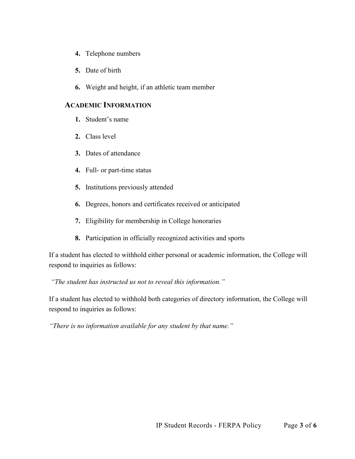- **4.** Telephone numbers
- **5.** Date of birth
- **6.** Weight and height, if an athletic team member

#### **ACADEMIC INFORMATION**

- **1.** Student's name
- **2.** Class level
- **3.** Dates of attendance
- **4.** Full- or part-time status
- **5.** Institutions previously attended
- **6.** Degrees, honors and certificates received or anticipated
- **7.** Eligibility for membership in College honoraries
- **8.** Participation in officially recognized activities and sports

If a student has elected to withhold either personal or academic information, the College will respond to inquiries as follows:

*"The student has instructed us not to reveal this information."*

If a student has elected to withhold both categories of directory information, the College will respond to inquiries as follows:

*"There is no information available for any student by that name."*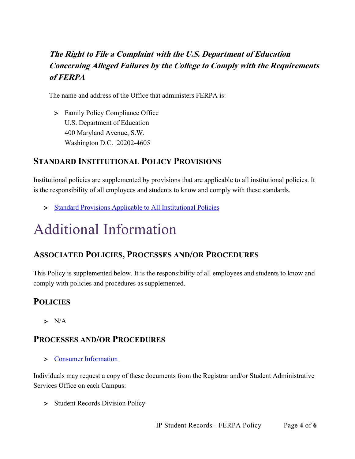# **The Right to File a Complaint with the U.S. Department of Education Concerning Alleged Failures by the College to Comply with the Requirements of FERPA**

The name and address of the Office that administers FERPA is:

> Family Policy Compliance Office U.S. Department of Education 400 Maryland Avenue, S.W. Washington D.C. 20202-4605

# **STANDARD INSTITUTIONAL POLICY PROVISIONS**

Institutional policies are supplemented by provisions that are applicable to all institutional policies. It is the responsibility of all employees and students to know and comply with these standards.

> [Standard Provisions Applicable to All Institutional Policies](http://www.palmer.edu/uploadedFiles/Pages/Students/Resources_and_Offices/Handbook_and_Policies/_pdf/Standard-Provisions-Applicable-to-All-Institutional-Policies.pdf)

# Additional Information

# **ASSOCIATED POLICIES, PROCESSES AND/OR PROCEDURES**

This Policy is supplemented below. It is the responsibility of all employees and students to know and comply with policies and procedures as supplemented.

# **POLICIES**

 $> N/A$ 

### **PROCESSES AND/OR PROCEDURES**

> [Consumer Information](http://www.palmer.edu/uploadedFiles/Pages/Marketing/Publications/Official_College_Documents/Financial_Aid/consumer-Information.pdf)

Individuals may request a copy of these documents from the Registrar and/or Student Administrative Services Office on each Campus:

> Student Records Division Policy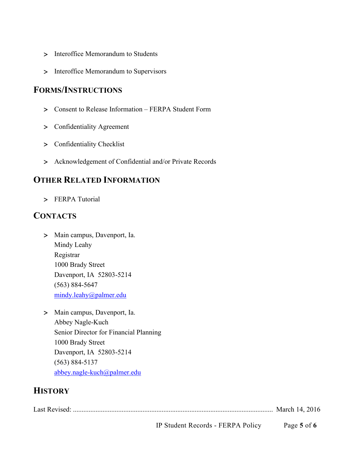- > Interoffice Memorandum to Students
- > Interoffice Memorandum to Supervisors

### **FORMS/INSTRUCTIONS**

- > Consent to Release Information FERPA Student Form
- > Confidentiality Agreement
- > Confidentiality Checklist
- > Acknowledgement of Confidential and/or Private Records

### **OTHER RELATED INFORMATION**

> FERPA Tutorial

### **CONTACTS**

- > Main campus, Davenport, Ia. Mindy Leahy Registrar 1000 Brady Street Davenport, IA 52803-5214 (563) 884-5647 [mindy.leahy@palmer.edu](mailto:mindy.leahy@palmer.edu)
- > Main campus, Davenport, Ia. Abbey Nagle-Kuch Senior Director for Financial Planning 1000 Brady Street Davenport, IA 52803-5214 (563) 884-5137 [abbey.nagle-kuch@palmer.edu](mailto:abbey.nagle-kuch@palmer.edu)

# **HISTORY**

Last Revised: ................................................................................................................... March 14, 2016